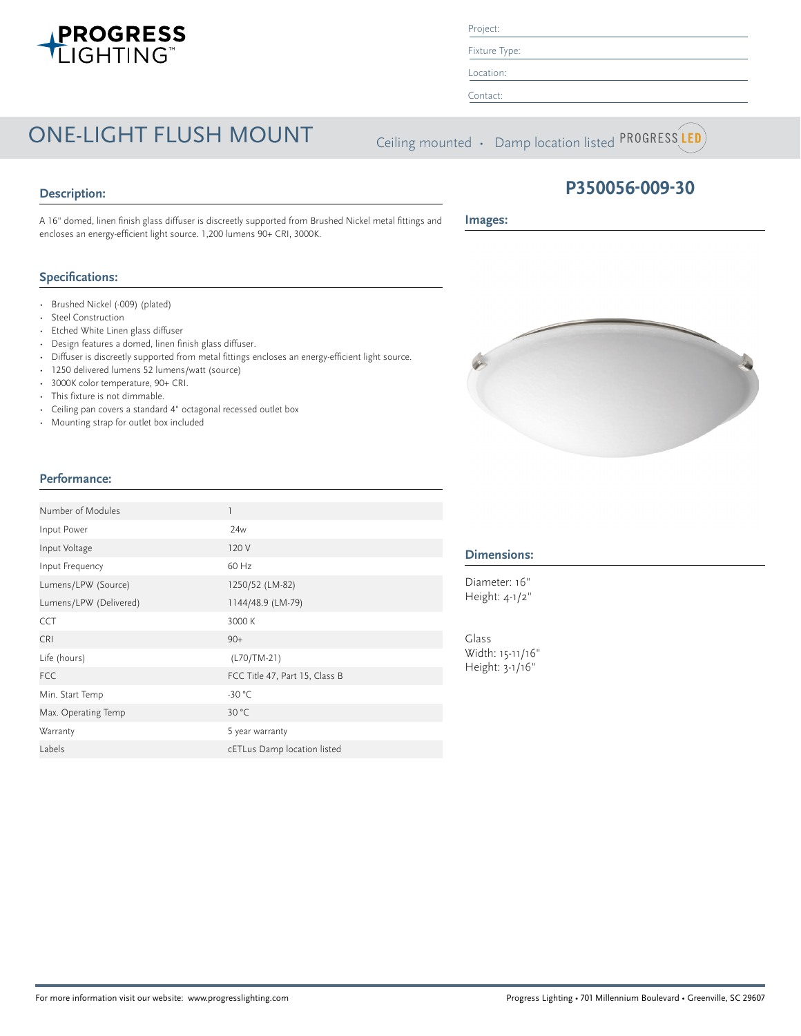# ONE-LIGHT FLUSH MOUNT Ceiling mounted • Damp location listed PROGRESS LED

### **Description:**

A 16" domed, linen finish glass diffuser is discreetly supported from Brushed Nickel metal fittings and encloses an energy-efficient light source. 1,200 lumens 90+ CRI, 3000K.

### **Specifications:**

- Brushed Nickel (-009) (plated)
- Steel Construction

**Performance:**

- Etched White Linen glass diffuser
- Design features a domed, linen finish glass diffuser.
- Diffuser is discreetly supported from metal fittings encloses an energy-efficient light source.
- 1250 delivered lumens 52 lumens/watt (source)
- 3000K color temperature, 90+ CRI.
- This fixture is not dimmable.
- Ceiling pan covers a standard 4" octagonal recessed outlet box

Lumens/LPW (Source) 1250/52 (LM-82) Lumens/LPW (Delivered) 1144/48.9 (LM-79)

FCC Title 47, Part 15, Class B

Labels cETLus Damp location listed

CCT 3000 K  $CRI$  90+ Life (hours) (L70/TM-21)

Min. Start Temp -30 °C Max. Operating Temp 30 °C Warranty 5 year warranty

• Mounting strap for outlet box included

Number of Modules 1 Input Power 24w Input Voltage 120 V Input Frequency 60 Hz

### **Dimensions:**

Diameter: 16" Height: 4-1/2"

Glass Width: 15-11/16" Height: 3-1/16"

## **P350056-009-30**

**Images:**





Project: Fixture Type:

Location: Contact: